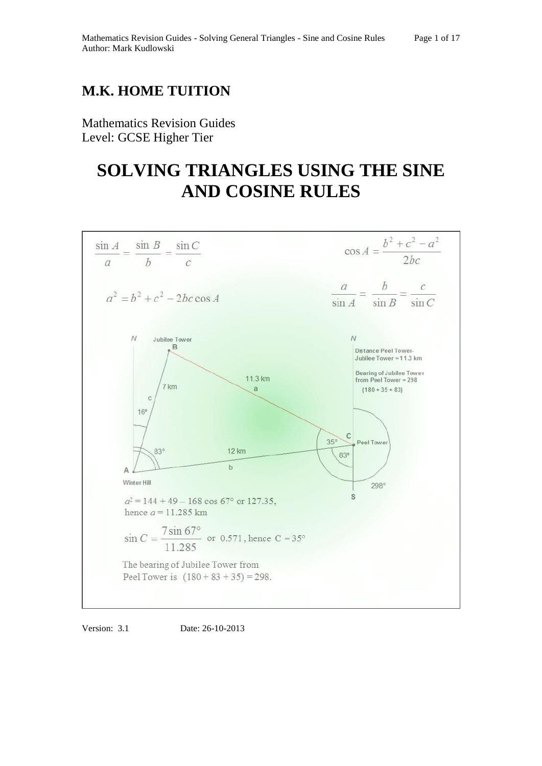# **M.K. HOME TUITION**

Mathematics Revision Guides Level: GCSE Higher Tier

# **SOLVING TRIANGLES USING THE SINE AND COSINE RULES**



Version: 3.1 Date: 26-10-2013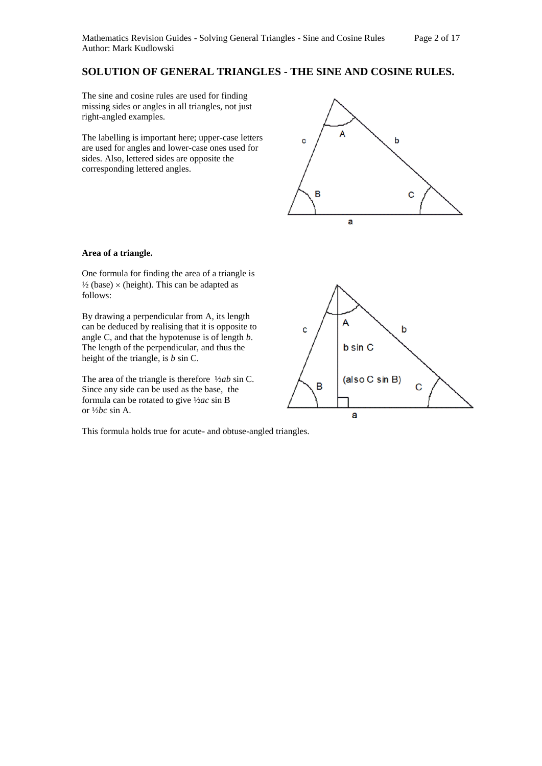# **SOLUTION OF GENERAL TRIANGLES - THE SINE AND COSINE RULES.**

The sine and cosine rules are used for finding missing sides or angles in all triangles, not just right-angled examples.

The labelling is important here; upper-case letters are used for angles and lower-case ones used for sides. Also, lettered sides are opposite the corresponding lettered angles.



# **Area of a triangle.**

One formula for finding the area of a triangle is  $\frac{1}{2}$  (base)  $\times$  (height). This can be adapted as follows:

By drawing a perpendicular from A, its length can be deduced by realising that it is opposite to angle C, and that the hypotenuse is of length *b*. The length of the perpendicular, and thus the height of the triangle, is *b* sin C.

The area of the triangle is therefore ½*ab* sin C. Since any side can be used as the base, the formula can be rotated to give ½*ac* sin B or ½*bc* sin A.

This formula holds true for acute- and obtuse-angled triangles.

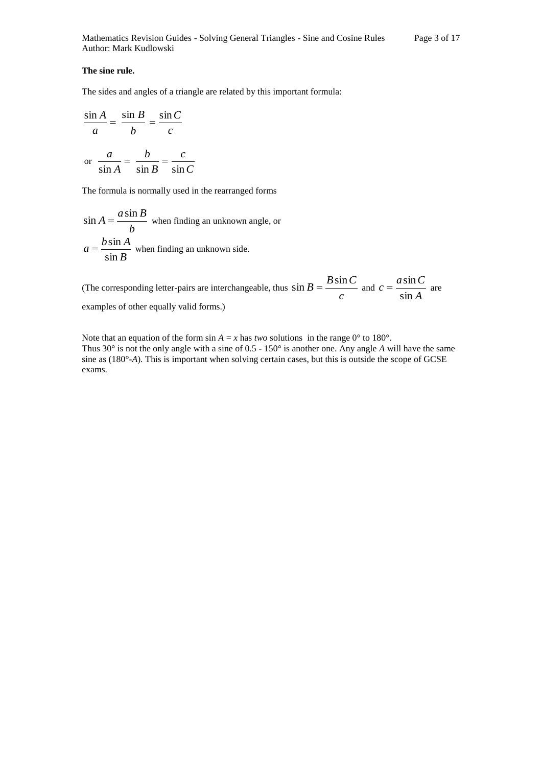#### **The sine rule.**

The sides and angles of a triangle are related by this important formula:

$$
\frac{\sin A}{a} = \frac{\sin B}{b} = \frac{\sin C}{c}
$$
  
or 
$$
\frac{a}{\sin A} = \frac{b}{\sin B} = \frac{c}{\sin C}
$$

The formula is normally used in the rearranged forms

$$
\sin A = \frac{a \sin B}{b}
$$
 when finding an unknown angle, or  

$$
a = \frac{b \sin A}{\sin B}
$$
 when finding an unknown side.

(The corresponding letter-pairs are interchangeable, thus  $\sin B = \frac{-\cos A}{c}$  $\sin B = \frac{B \sin C}{c}$  and  $c = \frac{a \sin C}{\sin A}$  $c = \frac{a \sin C}{1}$ sin  $=\frac{a\sin C}{\sin C}$  are examples of other equally valid forms.)

Note that an equation of the form  $\sin A = x$  has *two* solutions in the range  $0^{\circ}$  to 180°. Thus 30° is not the only angle with a sine of 0.5 - 150° is another one. Any angle *A* will have the same sine as (180°-*A*)*.* This is important when solving certain cases, but this is outside the scope of GCSE exams.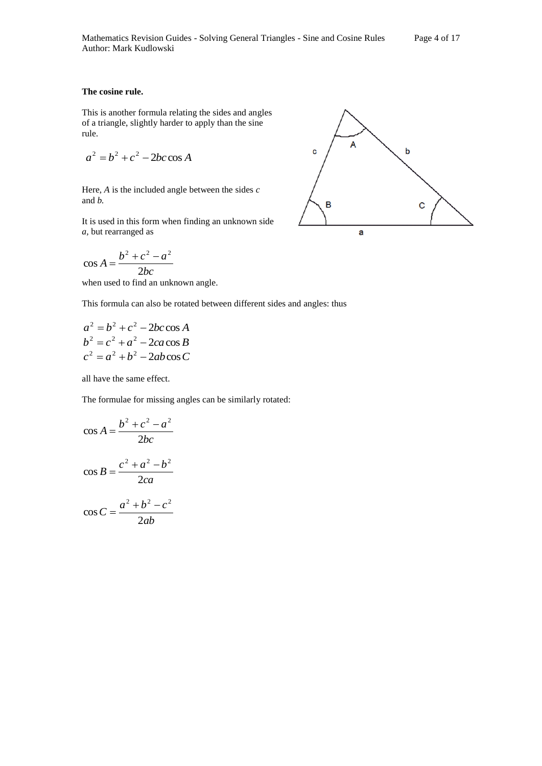#### **The cosine rule.**

This is another formula relating the sides and angles of a triangle, slightly harder to apply than the sine rule.

$$
a^2 = b^2 + c^2 - 2bc \cos A
$$

Here, *A* is the included angle between the sides *c*  and *b.* 

It is used in this form when finding an unknown side *a,* but rearranged as

$$
\cos A = \frac{b^2 + c^2 - a^2}{2bc}
$$

when used to find an unknown angle.

This formula can also be rotated between different sides and angles: thus

$$
a2 = b2 + c2 - 2bc \cos A
$$
  
\n
$$
b2 = c2 + a2 - 2ca \cos B
$$
  
\n
$$
c2 = a2 + b2 - 2ab \cos C
$$

all have the same effect.

The formulae for missing angles can be similarly rotated:

$$
\cos A = \frac{b^2 + c^2 - a^2}{2bc}
$$

$$
\cos B = \frac{c^2 + a^2 - b^2}{2ca}
$$

$$
\cos C = \frac{a^2 + b^2 - c^2}{2ab}
$$

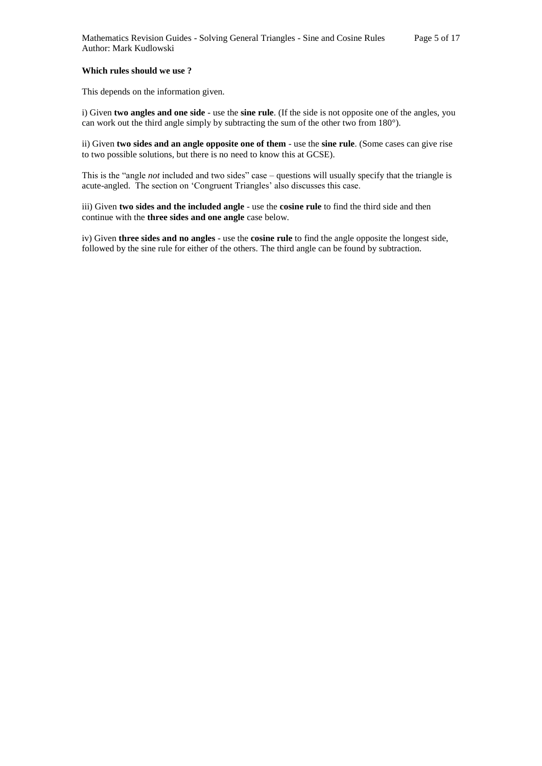# **Which rules should we use ?**

This depends on the information given.

i) Given **two angles and one side** - use the **sine rule**. (If the side is not opposite one of the angles, you can work out the third angle simply by subtracting the sum of the other two from 180°).

ii) Given **two sides and an angle opposite one of them** - use the **sine rule**. (Some cases can give rise to two possible solutions, but there is no need to know this at GCSE).

This is the "angle *not* included and two sides" case – questions will usually specify that the triangle is acute-angled. The section on 'Congruent Triangles' also discusses this case.

iii) Given **two sides and the included angle** - use the **cosine rule** to find the third side and then continue with the **three sides and one angle** case below.

iv) Given **three sides and no angles** - use the **cosine rule** to find the angle opposite the longest side, followed by the sine rule for either of the others. The third angle can be found by subtraction.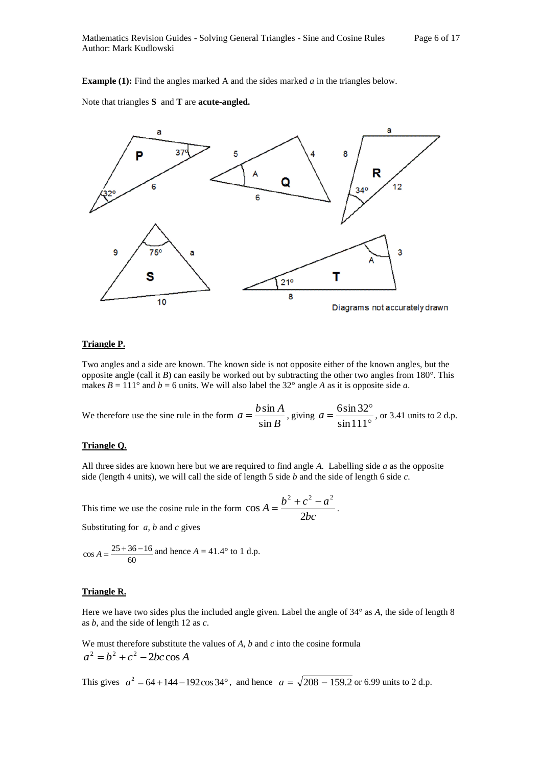**Example (1):** Find the angles marked A and the sides marked *a* in the triangles below.

Note that triangles **S** and **T** are **acute-angled.** 



#### **Triangle P.**

Two angles and a side are known. The known side is not opposite either of the known angles, but the opposite angle (call it *B*) can easily be worked out by subtracting the other two angles from  $180^\circ$ . This makes  $B = 111^\circ$  and  $b = 6$  units. We will also label the 32° angle *A* as it is opposite side *a*.

We therefore use the sine rule in the form  $a = \frac{3 \times 10^4}{\sin B}$  $a = \frac{b \sin A}{1}$ sin  $=\frac{b\sin A}{\sin B}$ , giving  $a = \frac{6\sin 32^{\circ}}{\sin 111^{\circ}}$  $=\frac{6\sin 32^{\circ}}{1\cdot 111^{\circ}}$ sin111  $a = \frac{6 \sin 32^{\circ}}{4 \cdot 1}$ , or 3.41 units to 2 d.p.

# **Triangle Q.**

All three sides are known here but we are required to find angle *A.* Labelling side *a* as the opposite side (length 4 units), we will call the side of length 5 side *b* and the side of length 6 side *c*.

This time we use the cosine rule in the form 
$$
\cos A = \frac{b^2 + c^2 - a^2}{2bc}
$$
.

Substituting for *a*, *b* and *c* gives

$$
\cos A = \frac{25 + 36 - 16}{60}
$$
 and hence  $A = 41.4^{\circ}$  to 1 d.p.

#### **Triangle R.**

Here we have two sides plus the included angle given. Label the angle of 34° as *A*, the side of length 8 as *b*, and the side of length 12 as *c*.

We must therefore substitute the values of *A*, *b* and *c* into the cosine formula  $a^2 = b^2 + c^2 - 2bc \cos A$ 

This gives  $a^2 = 64 + 144 - 192 \cos 34^\circ$ , and hence  $a = \sqrt{208 - 159.2}$  or 6.99 units to 2 d.p.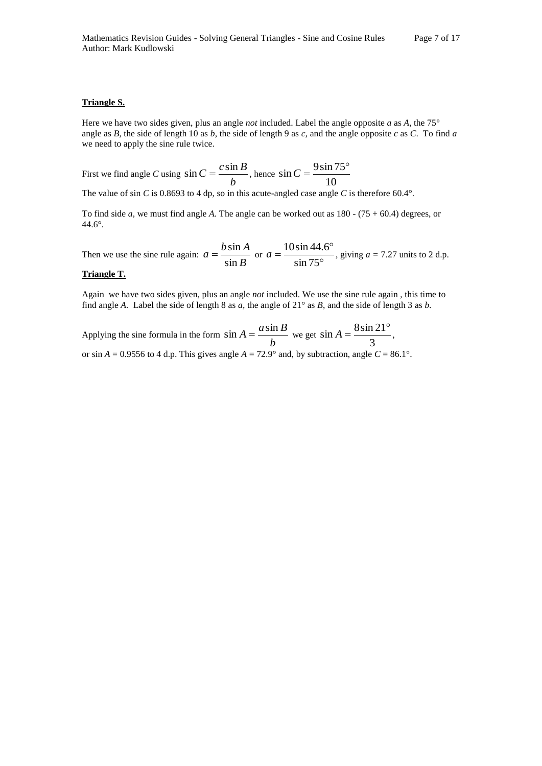# **Triangle S.**

Here we have two sides given, plus an angle *not* included. Label the angle opposite *a* as *A*, the 75° angle as *B*, the side of length 10 as *b*, the side of length 9 as *c*, and the angle opposite *c* as *C*. To find *a* we need to apply the sine rule twice.

First we find angle *C* using  $sin C = \frac{684b}{b}$  $\sin C = \frac{c \sin B}{b}$ , hence  $\sin C = \frac{9 \sin^2 C}{10}$  $\sin C = \frac{9 \sin 75^{\circ}}{10^{\circ}}$ 

The value of sin *C* is 0.8693 to 4 dp, so in this acute-angled case angle *C* is therefore 60.4°.

To find side *a*, we must find angle *A.* The angle can be worked out as 180 - (75 + 60.4) degrees, or 44.6°.

Then we use the sine rule again:  $a = \frac{3 \times 12}{\sin B}$  $a = \frac{b \sin A}{1}$ sin  $=\frac{b \sin A}{\sin B}$  or  $a = \frac{10 \sin 44.5}{\sin 75^\circ}$  $=\frac{10\sin 44.6^{\circ}}{1.75^{\circ}}$ sin 75  $a = \frac{10\sin 44.6^{\circ}}{1.756}$ , giving  $a = 7.27$  units to 2 d.p.

# **Triangle T.**

Again we have two sides given, plus an angle *not* included. We use the sine rule again , this time to find angle *A.* Label the side of length 8 as *a,* the angle of 21° as *B*, and the side of length 3 as *b.* 

Applying the sine formula in the form  $\sin A = \frac{d^2A}{dr^2}$  $\sin A = \frac{a \sin B}{b}$  we get  $\sin A = \frac{8 \sin A}{3}$  $\sin A = \frac{8 \sin 21^{\circ}}{2}$ or sin  $A = 0.9556$  to 4 d.p. This gives angle  $A = 72.9^\circ$  and, by subtraction, angle  $C = 86.1^\circ$ .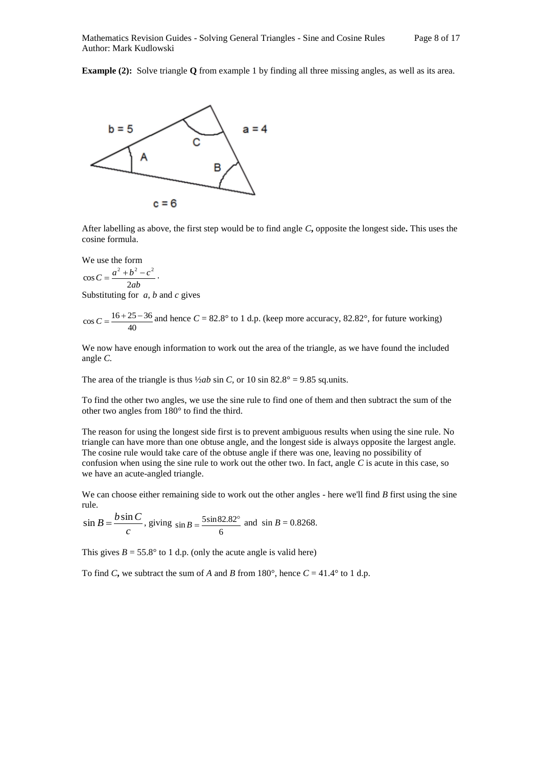**Example (2):** Solve triangle **Q** from example 1 by finding all three missing angles, as well as its area.



After labelling as above, the first step would be to find angle *C***,** opposite the longest side**.** This uses the cosine formula.

We use the form

$$
\cos C = \frac{a^2 + b^2 - c^2}{2ab}.
$$

Substituting for *a*, *b* and *c* gives

$$
\cos C = \frac{16 + 25 - 36}{40}
$$
 and hence  $C = 82.8^{\circ}$  to 1 d.p. (keep more accuracy, 82.82°, for future working)

We now have enough information to work out the area of the triangle, as we have found the included angle *C.* 

The area of the triangle is thus  $\frac{1}{2ab}$  sin *C*, or 10 sin 82.8° = 9.85 sq.units.

To find the other two angles, we use the sine rule to find one of them and then subtract the sum of the other two angles from 180° to find the third.

The reason for using the longest side first is to prevent ambiguous results when using the sine rule. No triangle can have more than one obtuse angle, and the longest side is always opposite the largest angle. The cosine rule would take care of the obtuse angle if there was one, leaving no possibility of confusion when using the sine rule to work out the other two. In fact, angle *C* is acute in this case, so we have an acute-angled triangle.

We can choose either remaining side to work out the other angles - here we'll find *B* first using the sine rule.

$$
\sin B = \frac{b \sin C}{c}
$$
, giving  $\sin B = \frac{5 \sin 82.82^{\circ}}{6}$  and  $\sin B = 0.8268$ .

This gives  $B = 55.8^\circ$  to 1 d.p. (only the acute angle is valid here)

To find *C*, we subtract the sum of *A* and *B* from 180°, hence  $C = 41.4$ ° to 1 d.p.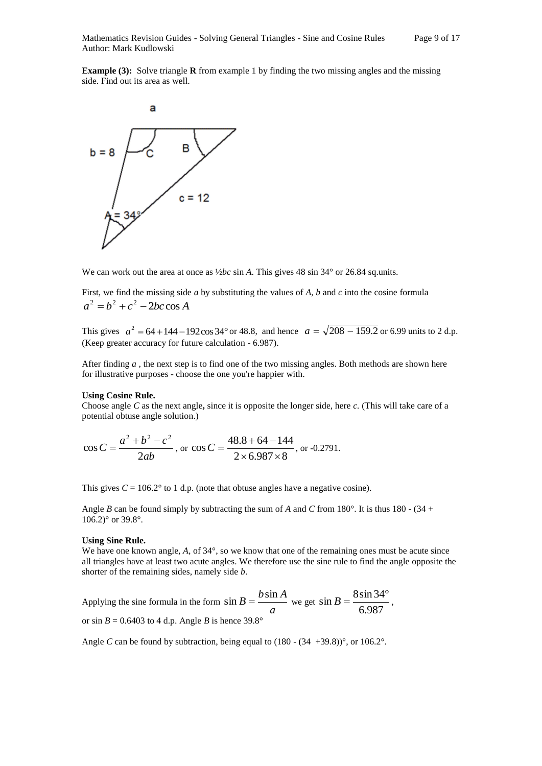**Example (3):** Solve triangle **R** from example 1 by finding the two missing angles and the missing side. Find out its area as well.



We can work out the area at once as  $\frac{1}{2bc}$  sin *A*. This gives 48 sin 34° or 26.84 sq.units.

First, we find the missing side *a* by substituting the values of *A*, *b* and *c* into the cosine formula  $a^2 = b^2 + c^2 - 2bc \cos A$ 

This gives  $a^2 = 64 + 144 - 192 \cos 34^\circ$  or 48.8, and hence  $a = \sqrt{208 - 159.2}$  or 6.99 units to 2 d.p. (Keep greater accuracy for future calculation - 6.987).

After finding *a* , the next step is to find one of the two missing angles. Both methods are shown here for illustrative purposes - choose the one you're happier with.

#### **Using Cosine Rule.**

Choose angle *C* as the next angle**,** since it is opposite the longer side, here *c.* (This will take care of a potential obtuse angle solution.)

$$
\cos C = \frac{a^2 + b^2 - c^2}{2ab}
$$
, or  $\cos C = \frac{48.8 + 64 - 144}{2 \times 6.987 \times 8}$ , or -0.2791.

This gives  $C = 106.2^{\circ}$  to 1 d.p. (note that obtuse angles have a negative cosine).

Angle *B* can be found simply by subtracting the sum of *A* and *C* from 180°. It is thus 180 - (34 +  $106.2$ ° or 39.8°.

#### **Using Sine Rule.**

We have one known angle, A, of  $34^{\circ}$ , so we know that one of the remaining ones must be acute since all triangles have at least two acute angles. We therefore use the sine rule to find the angle opposite the shorter of the remaining sides, namely side *b*.

Applying the sine formula in the form  $\sin B = \frac{a}{a}$  $\sin B = \frac{b \sin A}{a}$  we get  $\sin B = \frac{8 \sin 34}{6.987}$  $\sin B = \frac{8 \sin 34^{\circ}}{100}$ , or sin  $B = 0.6403$  to 4 d.p. Angle *B* is hence 39.8°

Angle *C* can be found by subtraction, being equal to  $(180 - (34 +39.8))^{\circ}$ , or  $106.2^{\circ}$ .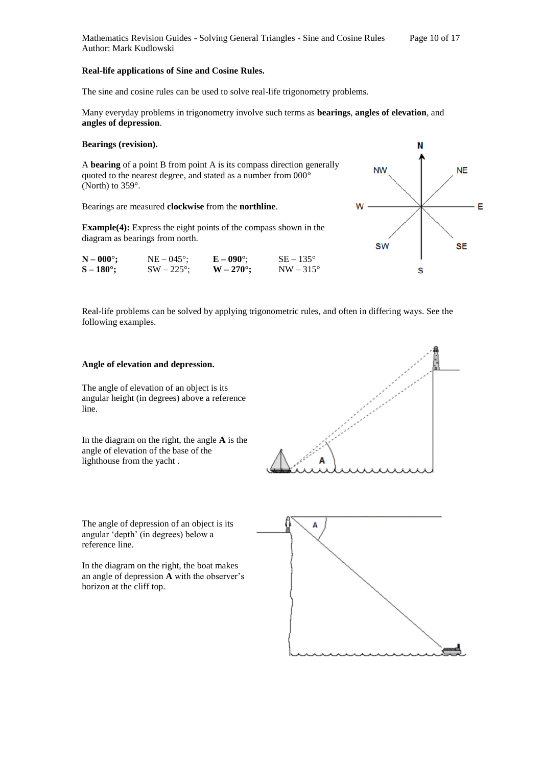#### **Real-life applications of Sine and Cosine Rules.**

The sine and cosine rules can be used to solve real-life trigonometry problems.

Many everyday problems in trigonometry involve such terms as **bearings**, **angles of elevation**, and **angles of depression**.

#### **Bearings (revision).**

A **bearing** of a point B from point A is its compass direction generally quoted to the nearest degree, and stated as a number from 000° (North) to 359°.

Bearings are measured **clockwise** from the **northline**.

**Example(4):** Express the eight points of the compass shown in the diagram as bearings from north.

| $N - 000^{\circ};$  | $NE - 045^{\circ}$ ; | $E - 090^{\circ}$ | $SE - 135^{\circ}$ |
|---------------------|----------------------|-------------------|--------------------|
| $S - 180^{\circ}$ ; | $SW - 225^{\circ}$ ; | $W - 270^\circ;$  | $NW-315^{\circ}$   |

Real-life problems can be solved by applying trigonometric rules, and often in differing ways. See the following examples.

### **Angle of elevation and depression.**

The angle of elevation of an object is its angular height (in degrees) above a reference line.

In the diagram on the right, the angle **A** is the angle of elevation of the base of the lighthouse from the yacht .



The angle of depression of an object is its angular 'depth' (in degrees) below a reference line.

In the diagram on the right, the boat makes an angle of depression **A** with the observer's horizon at the cliff top.



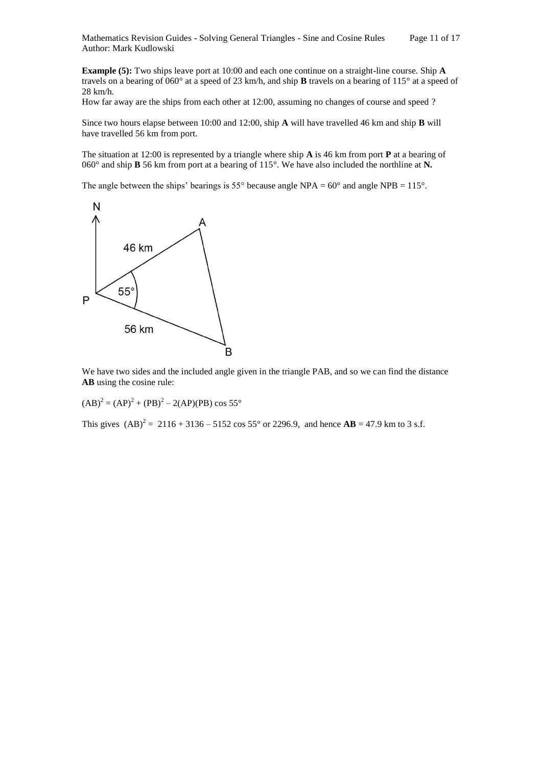Mathematics Revision Guides - Solving General Triangles - Sine and Cosine Rules Page 11 of 17 Author: Mark Kudlowski

**Example (5):** Two ships leave port at 10:00 and each one continue on a straight-line course. Ship **A**  travels on a bearing of 060° at a speed of 23 km/h, and ship **B** travels on a bearing of 115° at a speed of 28 km/h.

How far away are the ships from each other at 12:00, assuming no changes of course and speed ?

Since two hours elapse between 10:00 and 12:00, ship **A** will have travelled 46 km and ship **B** will have travelled 56 km from port.

The situation at 12:00 is represented by a triangle where ship **A** is 46 km from port **P** at a bearing of 060° and ship **B** 56 km from port at a bearing of 115°. We have also included the northline at **N***.*

The angle between the ships' bearings is 55° because angle NPA =  $60^{\circ}$  and angle NPB = 115°.



We have two sides and the included angle given in the triangle PAB, and so we can find the distance **AB** using the cosine rule:

 $(AB)^2 = (AP)^2 + (PB)^2 - 2(AP)(PB) \cos 55^\circ$ 

This gives  $(AB)^2 = 2116 + 3136 - 5152 \cos 55^\circ$  or 2296.9, and hence  $AB = 47.9$  km to 3 s.f.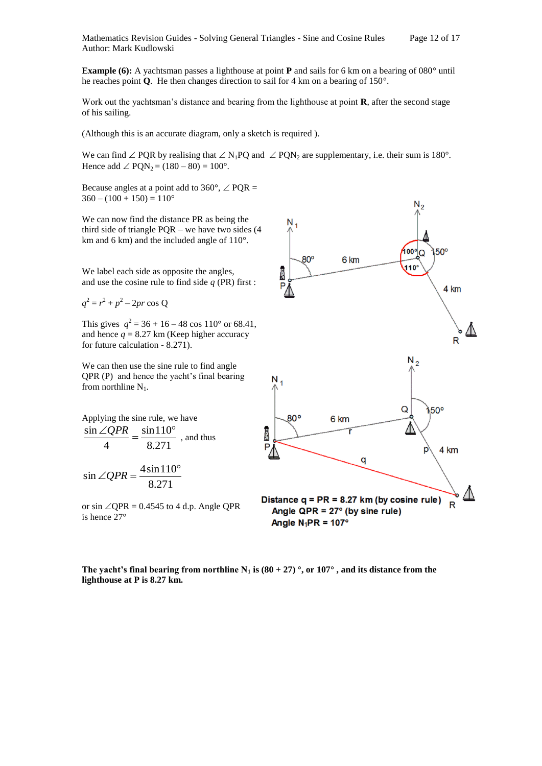**Example (6):** A yachtsman passes a lighthouse at point **P** and sails for 6 km on a bearing of 080° until he reaches point **Q**. He then changes direction to sail for 4 km on a bearing of 150°.

Work out the yachtsman's distance and bearing from the lighthouse at point **R**, after the second stage of his sailing.

(Although this is an accurate diagram, only a sketch is required ).

We can find  $\angle$  POR by realising that  $\angle$  N<sub>1</sub>PO and  $\angle$  PON<sub>2</sub> are supplementary, i.e. their sum is 180<sup>°</sup>. Hence add  $\angle$  PON<sub>2</sub> = (180 – 80) = 100°.

Because angles at a point add to 360 $^{\circ}$ ,  $\angle$  PQR =  $360 - (100 + 150) = 110^{\circ}$ 

We can now find the distance PR as being the third side of triangle PQR – we have two sides (4 km and 6 km) and the included angle of 110°.

We label each side as opposite the angles, and use the cosine rule to find side *q* (PR) first :

$$
q^2 = r^2 + p^2 - 2pr \cos Q
$$

This gives  $q^2 = 36 + 16 - 48 \cos 110^\circ$  or 68.41, and hence  $q = 8.27$  km (Keep higher accuracy for future calculation - 8.271).

We can then use the sine rule to find angle QPR (P) and hence the yacht's final bearing from northline  $N_1$ .

Applying the sine rule, we have  
\n
$$
\frac{\sin \angle QPR}{4} = \frac{\sin 110^{\circ}}{8.271}
$$
, and thus  
\n
$$
\sin \angle QPR = \frac{4 \sin 110^{\circ}}{8.271}
$$

or sin  $\angle$ QPR = 0.4545 to 4 d.p. Angle QPR is hence 27°

8.271



The yacht's final bearing from northline N<sub>1</sub> is  $(80 + 27)$  °, or  $107$ °, and its distance from the **lighthouse at P is 8.27 km.**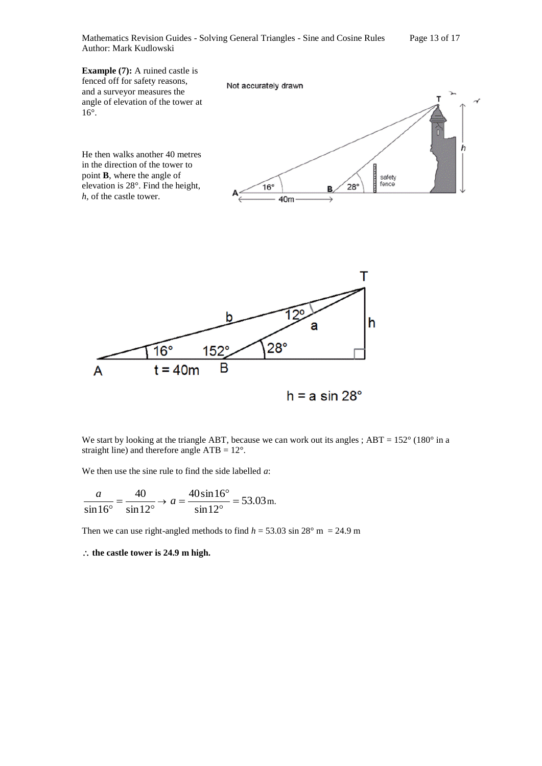Mathematics Revision Guides - Solving General Triangles - Sine and Cosine Rules Page 13 of 17 Author: Mark Kudlowski



 $h = a \sin 28^\circ$ 

We start by looking at the triangle ABT, because we can work out its angles ;  $ABT = 152^{\circ}$  (180° in a straight line) and therefore angle ATB = 12°.

We then use the sine rule to find the side labelled *a*:

$$
\frac{a}{\sin 16^{\circ}} = \frac{40}{\sin 12^{\circ}} \to a = \frac{40 \sin 16^{\circ}}{\sin 12^{\circ}} = 53.03 \,\text{m}.
$$

Then we can use right-angled methods to find  $h = 53.03 \sin 28^\circ$  m = 24.9 m

**the castle tower is 24.9 m high.**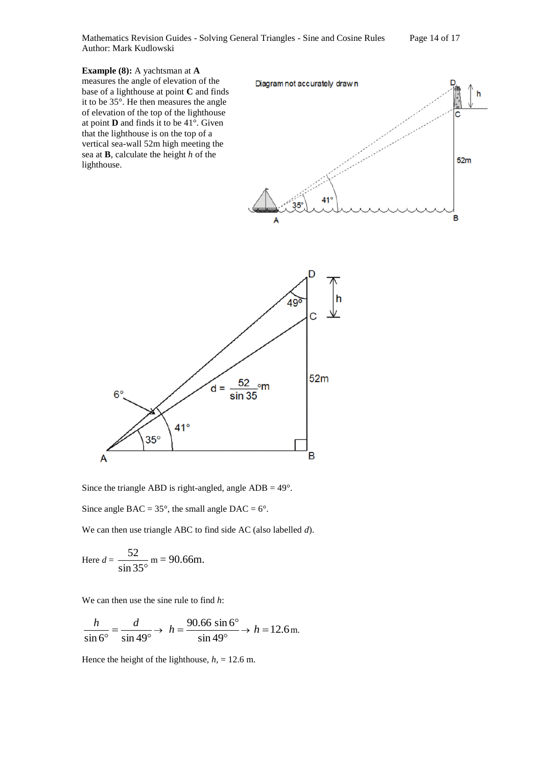Mathematics Revision Guides - Solving General Triangles - Sine and Cosine Rules Page 14 of 17 Author: Mark Kudlowski

**Example (8):** A yachtsman at **A**  measures the angle of elevation of the base of a lighthouse at point **C** and finds it to be 35°. He then measures the angle of elevation of the top of the lighthouse at point **D** and finds it to be 41°. Given that the lighthouse is on the top of a vertical sea-wall 52m high meeting the sea at **B**, calculate the height *h* of the lighthouse.





Since the triangle ABD is right-angled, angle  $ADB = 49^\circ$ .

Since angle BAC =  $35^\circ$ , the small angle DAC =  $6^\circ$ .

We can then use triangle ABC to find side AC (also labelled *d*).

Here 
$$
d = \frac{52}{\sin 35^\circ}
$$
 m = 90.66m.

We can then use the sine rule to find *h*:

$$
\frac{h}{\sin 6^\circ} = \frac{d}{\sin 49^\circ} \rightarrow h = \frac{90.66 \sin 6^\circ}{\sin 49^\circ} \rightarrow h = 12.6 \,\mathrm{m}.
$$

Hence the height of the lighthouse,  $h<sub>1</sub> = 12.6$  m.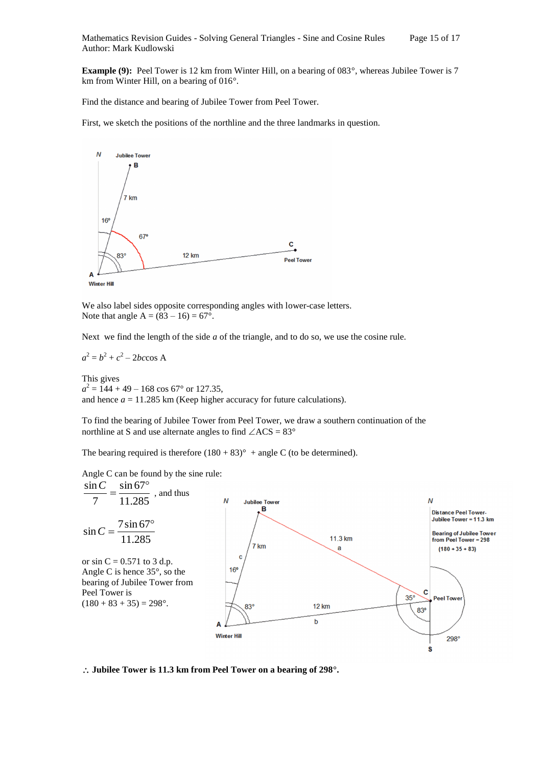**Example (9):** Peel Tower is 12 km from Winter Hill, on a bearing of 083°, whereas Jubilee Tower is 7 km from Winter Hill, on a bearing of 016°.

Find the distance and bearing of Jubilee Tower from Peel Tower.

First, we sketch the positions of the northline and the three landmarks in question.



We also label sides opposite corresponding angles with lower-case letters. Note that angle  $A = (83 - 16) = 67^{\circ}$ .

Next we find the length of the side *a* of the triangle, and to do so, we use the cosine rule.

$$
a^2 = b^2 + c^2 - 2bc \cos A
$$

This gives  $a^2 = 144 + 49 - 168 \cos 67^\circ$  or 127.35, and hence  $a = 11.285$  km (Keep higher accuracy for future calculations).

To find the bearing of Jubilee Tower from Peel Tower, we draw a southern continuation of the northline at S and use alternate angles to find  $\angle$ ACS = 83°

The bearing required is therefore  $(180 + 83)^\circ$  + angle C (to be determined).

Angle C can be found by the sine rule:



**Jubilee Tower is 11.3 km from Peel Tower on a bearing of 298°.**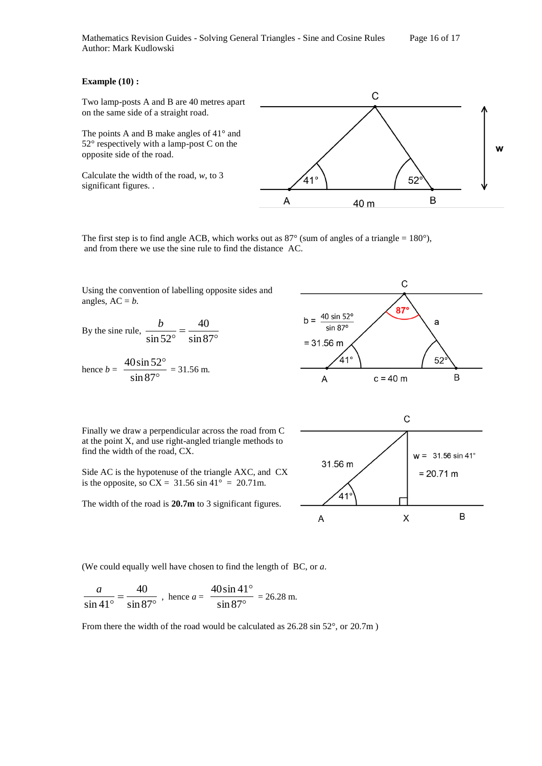#### **Example (10) :**

Two lamp-posts A and B are 40 metres apart on the same side of a straight road.

The points A and B make angles of 41° and 52° respectively with a lamp-post C on the opposite side of the road.

Calculate the width of the road, *w*, to 3 significant figures. .



The first step is to find angle ACB, which works out as  $87^\circ$  (sum of angles of a triangle = 180°), and from there we use the sine rule to find the distance AC.

Using the convention of labelling opposite sides and angles,  $AC = b$ .

By the sine rule, 
$$
\frac{b}{\sin 52^\circ} = \frac{40}{\sin 87^\circ}
$$

hence 
$$
b = \frac{40 \sin 52^{\circ}}{\sin 87^{\circ}} = 31.56 \text{ m}.
$$



Finally we draw a perpendicular across the road from C at the point X, and use right-angled triangle methods to find the width of the road, CX.

Side AC is the hypotenuse of the triangle AXC, and CX is the opposite, so  $CX = 31.56 \sin 41^\circ = 20.71 \text{m}$ .

The width of the road is **20.7m** to 3 significant figures.



(We could equally well have chosen to find the length of BC, or *a*.

$$
\frac{a}{\sin 41^{\circ}} = \frac{40}{\sin 87^{\circ}} , \text{ hence } a = \frac{40 \sin 41^{\circ}}{\sin 87^{\circ}} = 26.28 \text{ m}.
$$

From there the width of the road would be calculated as 26.28 sin 52°, or 20.7m)